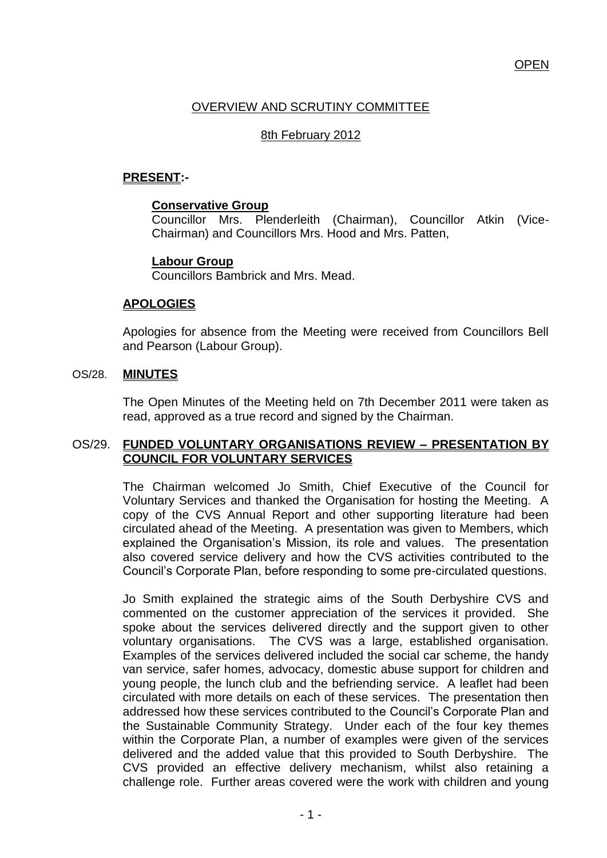## **OPEN**

# OVERVIEW AND SCRUTINY COMMITTEE

## 8th February 2012

# **PRESENT:-**

#### **Conservative Group**

Councillor Mrs. Plenderleith (Chairman), Councillor Atkin (Vice-Chairman) and Councillors Mrs. Hood and Mrs. Patten,

#### **Labour Group**

Councillors Bambrick and Mrs. Mead.

#### **APOLOGIES**

Apologies for absence from the Meeting were received from Councillors Bell and Pearson (Labour Group).

#### OS/28. **MINUTES**

The Open Minutes of the Meeting held on 7th December 2011 were taken as read, approved as a true record and signed by the Chairman.

#### OS/29. **FUNDED VOLUNTARY ORGANISATIONS REVIEW – PRESENTATION BY COUNCIL FOR VOLUNTARY SERVICES**

The Chairman welcomed Jo Smith, Chief Executive of the Council for Voluntary Services and thanked the Organisation for hosting the Meeting. A copy of the CVS Annual Report and other supporting literature had been circulated ahead of the Meeting. A presentation was given to Members, which explained the Organisation's Mission, its role and values. The presentation also covered service delivery and how the CVS activities contributed to the Council"s Corporate Plan, before responding to some pre-circulated questions.

Jo Smith explained the strategic aims of the South Derbyshire CVS and commented on the customer appreciation of the services it provided. She spoke about the services delivered directly and the support given to other voluntary organisations. The CVS was a large, established organisation. Examples of the services delivered included the social car scheme, the handy van service, safer homes, advocacy, domestic abuse support for children and young people, the lunch club and the befriending service. A leaflet had been circulated with more details on each of these services. The presentation then addressed how these services contributed to the Council"s Corporate Plan and the Sustainable Community Strategy. Under each of the four key themes within the Corporate Plan, a number of examples were given of the services delivered and the added value that this provided to South Derbyshire. The CVS provided an effective delivery mechanism, whilst also retaining a challenge role. Further areas covered were the work with children and young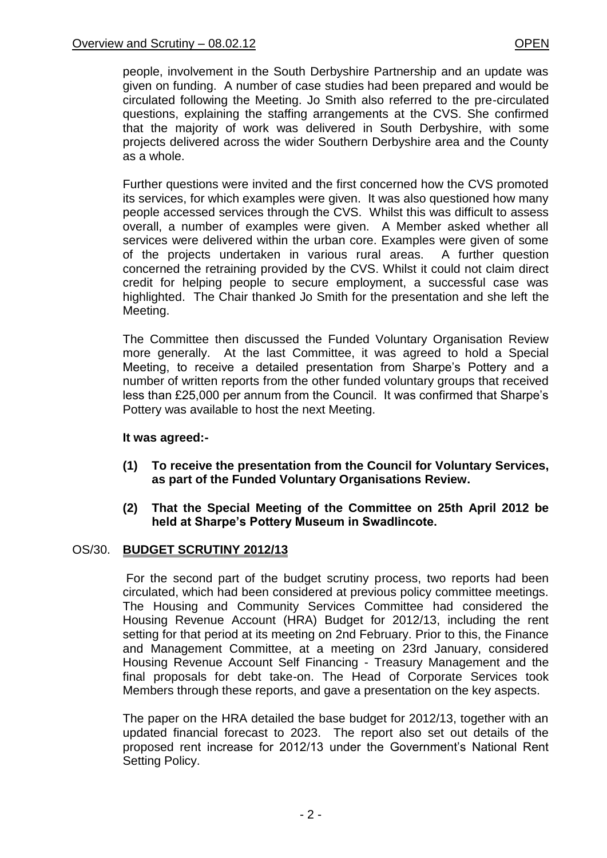people, involvement in the South Derbyshire Partnership and an update was given on funding. A number of case studies had been prepared and would be circulated following the Meeting. Jo Smith also referred to the pre-circulated questions, explaining the staffing arrangements at the CVS. She confirmed that the majority of work was delivered in South Derbyshire, with some projects delivered across the wider Southern Derbyshire area and the County as a whole.

Further questions were invited and the first concerned how the CVS promoted its services, for which examples were given. It was also questioned how many people accessed services through the CVS. Whilst this was difficult to assess overall, a number of examples were given. A Member asked whether all services were delivered within the urban core. Examples were given of some of the projects undertaken in various rural areas. A further question concerned the retraining provided by the CVS. Whilst it could not claim direct credit for helping people to secure employment, a successful case was highlighted. The Chair thanked Jo Smith for the presentation and she left the Meeting.

The Committee then discussed the Funded Voluntary Organisation Review more generally. At the last Committee, it was agreed to hold a Special Meeting, to receive a detailed presentation from Sharpe's Pottery and a number of written reports from the other funded voluntary groups that received less than £25,000 per annum from the Council. It was confirmed that Sharpe"s Pottery was available to host the next Meeting.

### **It was agreed:-**

- **(1) To receive the presentation from the Council for Voluntary Services, as part of the Funded Voluntary Organisations Review.**
- **(2) That the Special Meeting of the Committee on 25th April 2012 be held at Sharpe's Pottery Museum in Swadlincote.**

# OS/30. **BUDGET SCRUTINY 2012/13**

For the second part of the budget scrutiny process, two reports had been circulated, which had been considered at previous policy committee meetings. The Housing and Community Services Committee had considered the Housing Revenue Account (HRA) Budget for 2012/13, including the rent setting for that period at its meeting on 2nd February. Prior to this, the Finance and Management Committee, at a meeting on 23rd January, considered Housing Revenue Account Self Financing - Treasury Management and the final proposals for debt take-on. The Head of Corporate Services took Members through these reports, and gave a presentation on the key aspects.

The paper on the HRA detailed the base budget for 2012/13, together with an updated financial forecast to 2023. The report also set out details of the proposed rent increase for 2012/13 under the Government"s National Rent Setting Policy.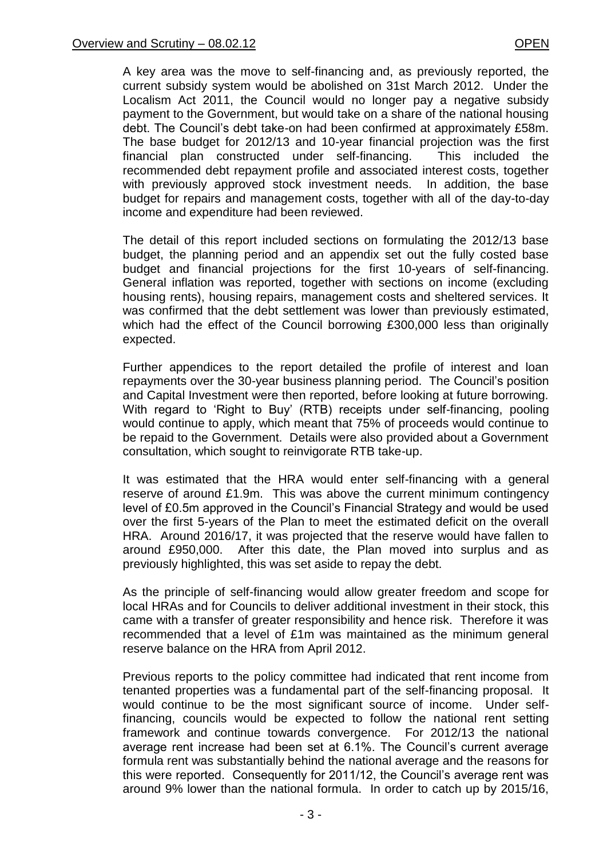A key area was the move to self-financing and, as previously reported, the current subsidy system would be abolished on 31st March 2012. Under the Localism Act 2011, the Council would no longer pay a negative subsidy payment to the Government, but would take on a share of the national housing debt. The Council"s debt take-on had been confirmed at approximately £58m. The base budget for 2012/13 and 10-year financial projection was the first financial plan constructed under self-financing. This included the recommended debt repayment profile and associated interest costs, together with previously approved stock investment needs. In addition, the base budget for repairs and management costs, together with all of the day-to-day income and expenditure had been reviewed.

The detail of this report included sections on formulating the 2012/13 base budget, the planning period and an appendix set out the fully costed base budget and financial projections for the first 10-years of self-financing. General inflation was reported, together with sections on income (excluding housing rents), housing repairs, management costs and sheltered services. It was confirmed that the debt settlement was lower than previously estimated, which had the effect of the Council borrowing £300,000 less than originally expected.

Further appendices to the report detailed the profile of interest and loan repayments over the 30-year business planning period. The Council"s position and Capital Investment were then reported, before looking at future borrowing. With regard to 'Right to Buy' (RTB) receipts under self-financing, pooling would continue to apply, which meant that 75% of proceeds would continue to be repaid to the Government. Details were also provided about a Government consultation, which sought to reinvigorate RTB take-up.

It was estimated that the HRA would enter self-financing with a general reserve of around £1.9m. This was above the current minimum contingency level of £0.5m approved in the Council"s Financial Strategy and would be used over the first 5-years of the Plan to meet the estimated deficit on the overall HRA. Around 2016/17, it was projected that the reserve would have fallen to around £950,000. After this date, the Plan moved into surplus and as previously highlighted, this was set aside to repay the debt.

As the principle of self-financing would allow greater freedom and scope for local HRAs and for Councils to deliver additional investment in their stock, this came with a transfer of greater responsibility and hence risk. Therefore it was recommended that a level of £1m was maintained as the minimum general reserve balance on the HRA from April 2012.

Previous reports to the policy committee had indicated that rent income from tenanted properties was a fundamental part of the self-financing proposal. It would continue to be the most significant source of income. Under selffinancing, councils would be expected to follow the national rent setting framework and continue towards convergence. For 2012/13 the national average rent increase had been set at 6.1%. The Council"s current average formula rent was substantially behind the national average and the reasons for this were reported. Consequently for 2011/12, the Council's average rent was around 9% lower than the national formula. In order to catch up by 2015/16,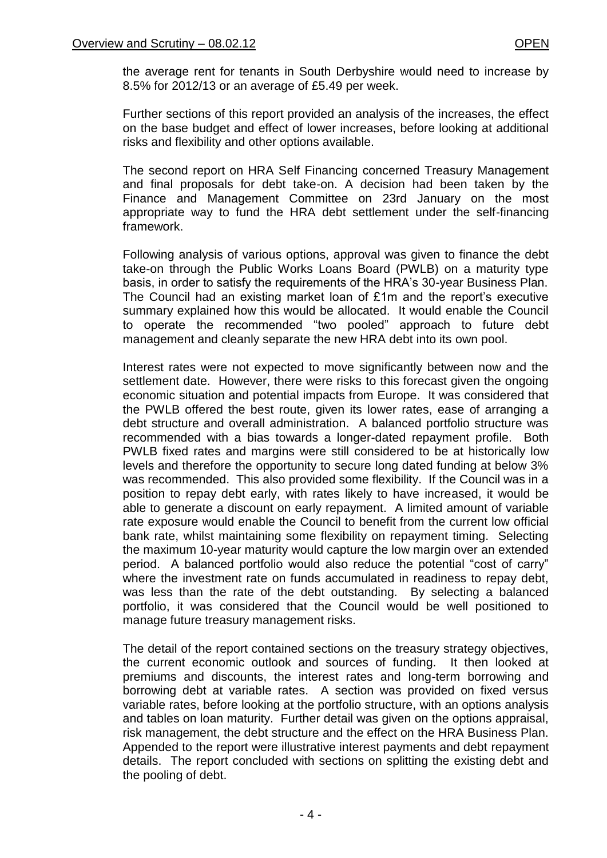the average rent for tenants in South Derbyshire would need to increase by 8.5% for 2012/13 or an average of £5.49 per week.

Further sections of this report provided an analysis of the increases, the effect on the base budget and effect of lower increases, before looking at additional risks and flexibility and other options available.

The second report on HRA Self Financing concerned Treasury Management and final proposals for debt take-on. A decision had been taken by the Finance and Management Committee on 23rd January on the most appropriate way to fund the HRA debt settlement under the self-financing framework.

Following analysis of various options, approval was given to finance the debt take-on through the Public Works Loans Board (PWLB) on a maturity type basis, in order to satisfy the requirements of the HRA"s 30-year Business Plan. The Council had an existing market loan of £1m and the report's executive summary explained how this would be allocated. It would enable the Council to operate the recommended "two pooled" approach to future debt management and cleanly separate the new HRA debt into its own pool.

Interest rates were not expected to move significantly between now and the settlement date. However, there were risks to this forecast given the ongoing economic situation and potential impacts from Europe. It was considered that the PWLB offered the best route, given its lower rates, ease of arranging a debt structure and overall administration. A balanced portfolio structure was recommended with a bias towards a longer-dated repayment profile. Both PWLB fixed rates and margins were still considered to be at historically low levels and therefore the opportunity to secure long dated funding at below 3% was recommended. This also provided some flexibility. If the Council was in a position to repay debt early, with rates likely to have increased, it would be able to generate a discount on early repayment. A limited amount of variable rate exposure would enable the Council to benefit from the current low official bank rate, whilst maintaining some flexibility on repayment timing. Selecting the maximum 10-year maturity would capture the low margin over an extended period. A balanced portfolio would also reduce the potential "cost of carry" where the investment rate on funds accumulated in readiness to repay debt, was less than the rate of the debt outstanding. By selecting a balanced portfolio, it was considered that the Council would be well positioned to manage future treasury management risks.

The detail of the report contained sections on the treasury strategy objectives, the current economic outlook and sources of funding. It then looked at premiums and discounts, the interest rates and long-term borrowing and borrowing debt at variable rates. A section was provided on fixed versus variable rates, before looking at the portfolio structure, with an options analysis and tables on loan maturity. Further detail was given on the options appraisal, risk management, the debt structure and the effect on the HRA Business Plan. Appended to the report were illustrative interest payments and debt repayment details. The report concluded with sections on splitting the existing debt and the pooling of debt.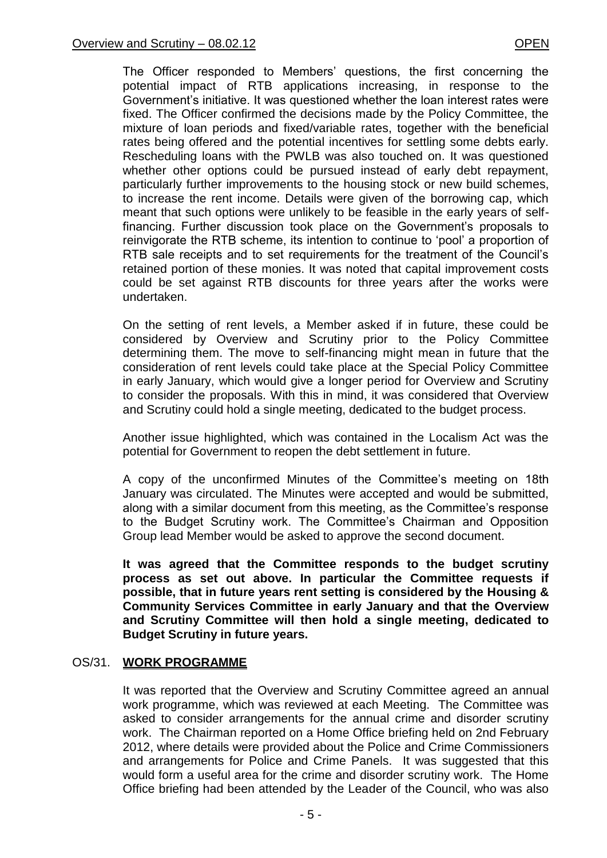The Officer responded to Members' questions, the first concerning the potential impact of RTB applications increasing, in response to the Government"s initiative. It was questioned whether the loan interest rates were fixed. The Officer confirmed the decisions made by the Policy Committee, the mixture of loan periods and fixed/variable rates, together with the beneficial rates being offered and the potential incentives for settling some debts early. Rescheduling loans with the PWLB was also touched on. It was questioned whether other options could be pursued instead of early debt repayment, particularly further improvements to the housing stock or new build schemes, to increase the rent income. Details were given of the borrowing cap, which meant that such options were unlikely to be feasible in the early years of selffinancing. Further discussion took place on the Government's proposals to reinvigorate the RTB scheme, its intention to continue to "pool" a proportion of RTB sale receipts and to set requirements for the treatment of the Council"s retained portion of these monies. It was noted that capital improvement costs could be set against RTB discounts for three years after the works were undertaken.

On the setting of rent levels, a Member asked if in future, these could be considered by Overview and Scrutiny prior to the Policy Committee determining them. The move to self-financing might mean in future that the consideration of rent levels could take place at the Special Policy Committee in early January, which would give a longer period for Overview and Scrutiny to consider the proposals. With this in mind, it was considered that Overview and Scrutiny could hold a single meeting, dedicated to the budget process.

Another issue highlighted, which was contained in the Localism Act was the potential for Government to reopen the debt settlement in future.

A copy of the unconfirmed Minutes of the Committee"s meeting on 18th January was circulated. The Minutes were accepted and would be submitted, along with a similar document from this meeting, as the Committee's response to the Budget Scrutiny work. The Committee"s Chairman and Opposition Group lead Member would be asked to approve the second document.

**It was agreed that the Committee responds to the budget scrutiny process as set out above. In particular the Committee requests if possible, that in future years rent setting is considered by the Housing & Community Services Committee in early January and that the Overview and Scrutiny Committee will then hold a single meeting, dedicated to Budget Scrutiny in future years.**

### OS/31. **WORK PROGRAMME**

It was reported that the Overview and Scrutiny Committee agreed an annual work programme, which was reviewed at each Meeting. The Committee was asked to consider arrangements for the annual crime and disorder scrutiny work. The Chairman reported on a Home Office briefing held on 2nd February 2012, where details were provided about the Police and Crime Commissioners and arrangements for Police and Crime Panels. It was suggested that this would form a useful area for the crime and disorder scrutiny work. The Home Office briefing had been attended by the Leader of the Council, who was also